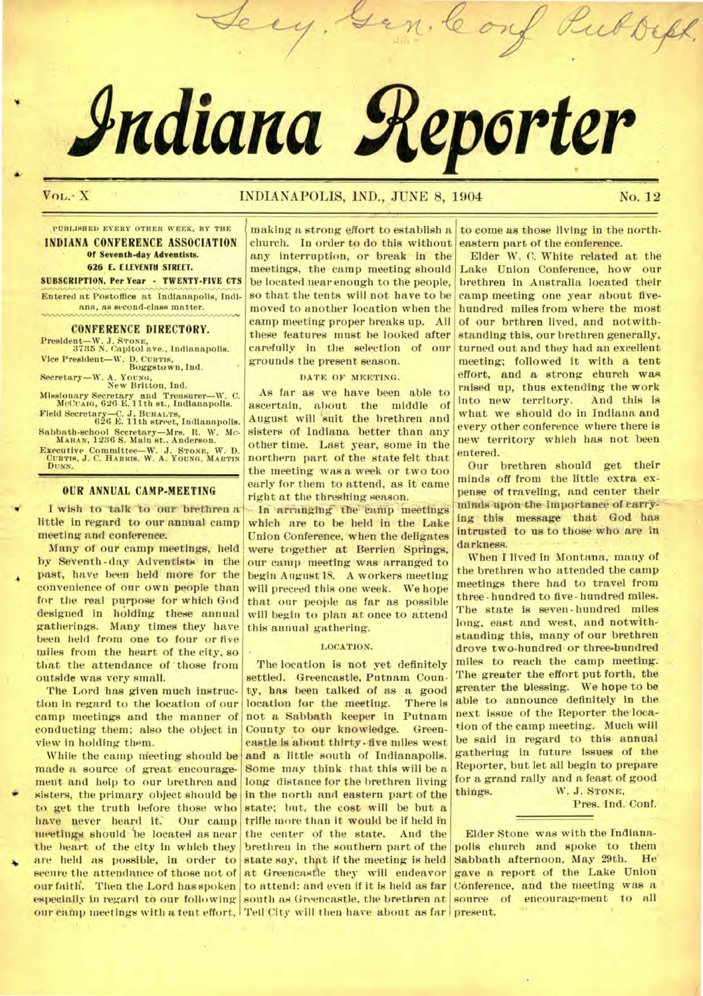# **Adiana geporter**

leo

# Vol. - X NOI ANDIANAPOLIS, IND., JUNE 8, 1904 No. 12

Rubs

**PUBLISHED EVERY OTHER WEEK, BY THE INDIANA CONFERENCE ASSOCIATION Of Seventh-day Adventists. 626 E. ELEVENTH STREET.** 

**SUBSCRIPTION. Per Year - TWENTY-FIVE CTS Entered at Postoffice at Indianapolis, Indiana, as second-class matter.** 

#### **CONFERENCE DIRECTORY.**

**President—W. J. STONE, 3785 N. Capitol ave., Indianapolis. Vice President—W. D. CURTIS, Boggstown, Ind.** 

Secretary—W. A. Young,<br>
New Britton, Ind.

**Missionary Secretary and Treasurer—W. C. McCumo, 626 E.11th st., Indianapolis.** 

**Field Secretary—C. J. BUHALTB, 626 E. 11th street, Indianapolis. Sabbath-school Secretary—Mrs. R. W. MC-MAHAN, 1236 S. Main st.. Anderson.** 

**Executive Committee—W. J. STONE, W. D. QURTIS, J. C. HARRIS. W. A. YOUNG, MARTIN** DUNN.

# **OUR ANNUAL CAMP-MEETING**

**I** wish to talk to our brethren a little in regard to our annual camp meeting and conference.

Many of our camp meetings, held by Seventh-day Adventists in the past, have been held more for the convenience of our own people than for the real purpose for which God designed in holding these annual gatherings. Many times they have been held from one to four or five miles from the heart of the city, so that the attendance of 'those from outside was very small.

The Lord has given much instruction in regard to the location of our camp meetings and the manner of conducting them; also the object in view in holding them.

While the camp meeting should be made a source of great encouragement and help to our brethren and sisters, the primary object should be to get the truth before those who have never heard it. Our camp meetings should be located as near the heart of the city in which they are held as possible, in order to secure the attendance of those not of our faith. Then the Lord has spoken especially in regard to our following

making a strong effort to establish a church. In order to do this without any interruption, or break in the meetings, the camp meeting should be located near enough to the people, so that the tents will not have to be moved to another location when the camp meeting proper breaks up. All these features must be looked after carefully in the selection of our grounds the present season.

#### **DATE OF MEETING.**

As far as we have been able to ascertain, about the middle of August will suit the brethren and sisters of Indiana better than any other time. Last year, some in the northern part of the state felt that the meeting was a week or two too early for them to attend, as it came right at the threshing season.

In arranging the camp meetings which are to be held in the Lake Union Conference, when the deligates were together at Berrien Springs, our camp meeting was arranged to begin August 18. A workers meeting will preceed this one week. We hope that our people as far as possible will begin to plan at once to attend this annual gathering.

#### **LOCATION.**

The location is not yet definitely settled. Greencastle, Putnam County, has been talked of as a good location for the meeting. There is not a Sabbath keeper in Putnam County to our knowledge. Greencastle is about thirty-five miles west and a little south of Indianapolis. Some may think that this will be a long distance for the brethren living in the north and eastern part of the state; but, the cost will be but a trifle more than it would be if held in the center of the state. And the brethren in the southern part of the state say, that if the meeting is held at Greencastle they will endeavor to attend: and even if it is held as far south as Greencastle, the brethren at our camp meetings with a tent effort,  $\mid$  Tell City will then have about as far  $\mid$  present.

**to** come as those living in the northeastern part of the conference.

Elder W. C. White related at the Lake Union Conference, how our brethren in Australia located their camp meeting one year about fivehundred miles from where the most of our brthren lived, and notwithstanding this, our brethren generally, turned out and they had an excellent meeting; followed it with a tent effort, and a strong church was raised up, thus extending the work<br>into new territory. And this is into new territory. what we should do in Indiana and every other conference where there is new territory which has not been entered.

Our brethren should get their minds off from the little extra expense of traveling, and center their minds"upon the importance of carry= ing this message that God has intrusted to us to those who are in darkness.

When I lived in Montana, many of the brethren who attended the camp meetings there had to travel from three-hundred to five-hundred miles. The state is seven-hundred miles long, east and west, and notwithstanding this, many of our brethren drove two-hundred or three-hundred miles to reach the camp meeting. The greater the effort put forth, the greater the blessing. We hope to be able to announce definitely in the next issue of the Reporter the location of the camp meeting. Much will be said in regard to this. annual gathering in future issues of the Reporter, but let all begin to prepare for a grand rally and a feast of good things. W. J. **STONE,** 

Pres. Ind. Conf.

Elder Stone was with the Indianapolis church and spoke to them<br>Sabbath afternoon, May 29th. He Sabbath afternoon, May 29th. *gave* a report of the Lake Union Conference, and the meeting was a source of encouragement to all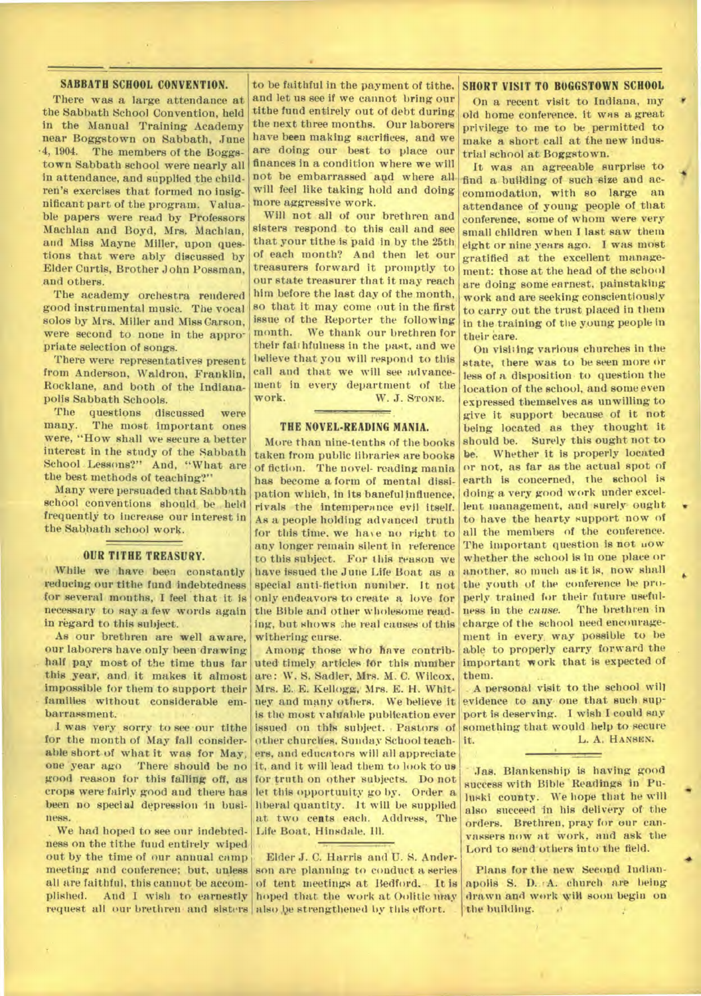# **SABBATH SCHOOL CONVENTION.**

There was a large attendance at the Sabbath School Convention, held in the Manual Training Academy near Boggstown on Sabbath, June •4, 1904. The members of the Boggstown Sabbath school were nearly all in attendance, and supplied the children's exercises that formed no insignificant part of the program. Valuable papers were read by Professors Machlan and Boyd, Mrs, Machlan, and Miss Mayne Miller, upon questions that were ably discussed by Elder Curtis, Brother John Possman, and others.

The academy orchestra rendered good instrumental music. The vocal solos by Mrs. Miller and Miss Carson, were second to none in the appropriate selection of songs.

There were representatives present from Anderson, Waldron, Franklin, Rocklane, and both of the Indianapolis Sabbath Schools.

The questions discussed were<br>many. The most important ones The most important ones were, "How shall we secure a better interest in the study of the Sabbath School Lessons?" And, "What are the best methods of teaching?"

Many were persuaded that Sabbath school conventions should be held frequently to increase our interest in the Sabbath school work.

#### **OUR TITHE TREASURY.**

While we have been constantly reducing our tithe fund indebtedness for several months, I feel that it is necessary to say a few words again in regard to this subject.

As our brethren are well aware, our laborers have.only been drawing half pay most of the time thus far this year, and, it makes it almost impossible for them to support their families without considerable embarrassment.

I was very sorry to see our tithe for the month of May fall considerable short of what it was for May, one 'year ago There should be no good reason for this falling off, as crops were fairly good and there has been no special depression in business.

We had hoped to see our indebtedness on the tithe fund entirely wiped out by the time of our annual camp meeting and conference; but, unless all are faithful, this cannot be accomplished. And I wish to earnestly

to be faithful in the payment of tithe, **SHORT VISIT TO BOGGSTOWN SCHOOL** and let us see it we cannot bring our tithe fund entirely out of debt during the next three months. Our laborers have been making sacrifices, and we are doing our best to place our finances in a condition where we will not be embarrassed and where all will feel like taking hold and doing more aggressive work.

Will not all of our brethren and sisters respond to this call and see that your tithe is paid in by the 25th of each month? And then let our treasurers forward it promptly to our state treasurer that it may reach him before the last day of the month,. so that it may come out in the first issue of the Reporter the following month. We thank our brethren for their faithfulness in the past, and we believe that you will respond to this call and that we will see advancement in every department of the WORK. W. J. STONE.

#### THE NOVEL-READING MANIA.

More than nine-tenths of the books taken from public libraries are books of fiction. The novel- reading mania has become a form of mental dissipation which, in its baneful influence, rivals the inteniperance evil itself. As a people holding advanced truth for this time, we have no right to any longer remain silent in reference to this subject. For this reason we have issued the June Life Boat as a special anti-fiction number. It not only endeavors to create a love for the Bible and other wholesome reading, but shows the real causes of this withering curse.

Among those who have contributed timely articles for this number are: W. S. Sadler, Mrs. M. C. Wilcox, Mrs. E. E. Kellogg, Mrs. E. H. Whitney and many others. We believe it is the most valuable publication ever issued on this subject. , Pastors of other churches, Sunday School teachers, and educators will all appreciate it, and it will lead them to look to us for truth on other subjects. Do not let this opportunity go by. Order a : liberal quantity. It will be supplied at two cents each. Address, The Life Boat, Hinsdale. Ill.

request all our brethren- and sisters also be strengthened by this effort. Elder J. C. Harris and U. S. Anderson are planning to conduct a series of tent meetings at Bedford. • It is hoped that the work at Oolitic may

On a recent visit to Indiana, my old home conference, it was a great privilege to me to be permitted to make a short call at the new industrial school at Boggstown.

-40

**6** 

•

**4** 

It was an agreeable surprise to find a building of such size and accommodation, with so large an attendance of young people of that conference, some of whom were very small children when I last saw them eight or nine years ago. I was most gratified at the excellent management: those at the head of the school are doing some earnest, painstaking work and are seeking conscientiously to carry out the trust placed in them in the training of the young people in their care.

On visiting various churches in the state, there was to be seen more or less of a disposition to question the location of the school, and some even expressed themselves as unwilling to give it support because of it not being located as they thought it should be. Surely this ought not to **be.** Whether it is properly located or not, as far as the actual spot of earth is concerned, the school is doing a very good work under excellent management, and surely- ought to have the hearty support now of all the members of the conference. The important question is not uow whether the school is in one place or another, so much as it is, how shall the youth of the conference be properly trained for their future usefulness in the *cause.* The brethren in charge of the school need encouragement in every, way possible to be able to properly carry forward the important work that is expected of them.

A. personal visit to the school will evidence to any one that such support is deserving. I wish I could say something that would help to secure L. A. HANSEN.

Jas. Blankenship is having good success with Bible 'Readings in Puluski county. We hope that he will also succeed in his delivery of the orders. Brethren, pray for our canvassers now at work, and ask the Lord to send others into the field.

Plans for the new Second Indianapolis S. D. A. church are being drawn and work wiH soon begin on 'the building.  $\rightarrow$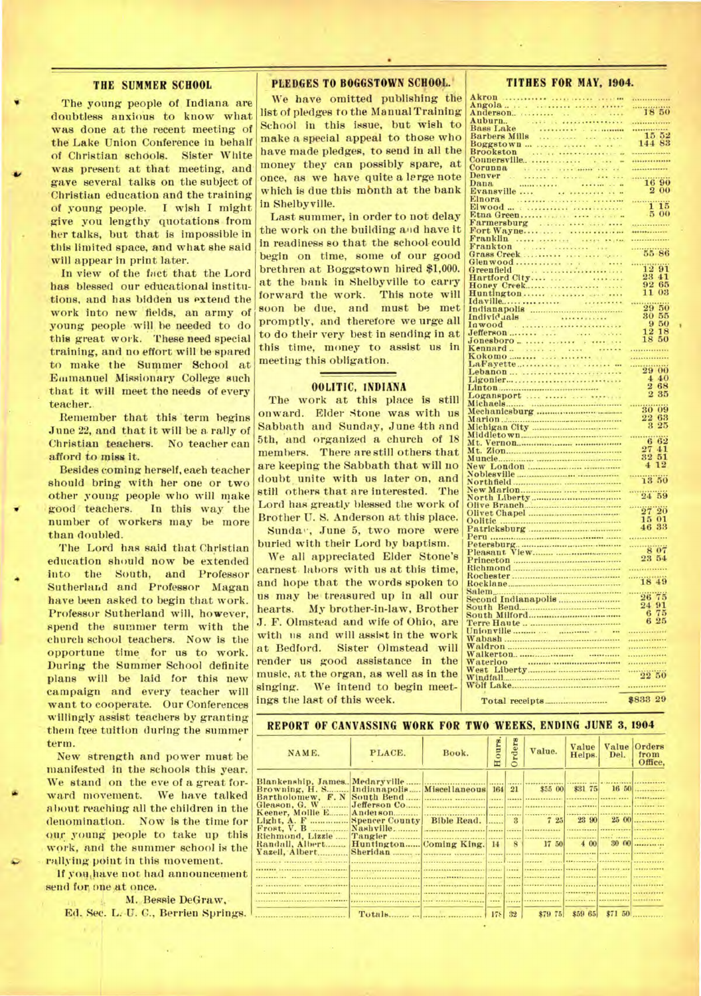#### **THE SUMMER SCHOOL**

**The young people of, Indiana are doubtless anxious to know what was done at the recent meeting of the Lake Union Conference in behalf of Christian schdols. Sister White**  was present at that meeting, and **gave several talks on the subject of 'Christian education and the training of young people. I wish I might give you lengthy quotations from her talks, but that is impossible in this limited space, and what she said will appear in print later..** 

In view of the fact that the Lord **has blessed our educational institutions, and has bidden us extend the work into new 'fields, an army of young people will be needed to do this great work. These need special training, and no effort will be spared to make the Summer School at Emmanuel Missionary College such that it will meet the needs of every teacher..** 

**Remember that this 'term begins June 22, and that it will be a rally of Christian teachers. No teacher can afford to miss it.** 

**Besides coming herself, eaeh teacher should bring with her one or two other young people who will make**  good teachers. In this way the **number of workers may be more than doubled.** 

**The Lord has said that Christian education should now be extended**  into the South, and Professor **Sutherland and Professor Magan have been asked to begin that work. Professor Sutherland will, however, spend the summer term with the church school teachers. Now is the opportune time for us to work. During the Summer School definite plans will be laid for this new campaign and every teacher will want to cooperate. Our Conferences willingly assist teachers by granting them free tuition during the summer term.** 

**New strength and power must be manifested in the schools this year. We stand on the eve of a great forward movement. We have talked about reaching all the children in the denomination. Now is the time for ou,r young people to take up this**  work, and the summer school is the **rallying point in this movement.** 

**If youihave not had announcement**  send for one at once.

**M., Bessie DeQraw,. •**  Ed. Sec. L.-U. C., Berrien Springs.

### PLEDGES TO BOGGSTOWN SCHOOL.

**We have omitted publishing the list of pledges to the Manual Training Schodl in this issue, but wish to make a special appeal to those who have made pledges, to send in all the money they can possibly spare, at once, as we have quite a lerge note which is due this month at the bank in Shelbyville.** 

**Last summer, in order to not delay the work on the building and have it in readiness so that the school could begin on time, some of our good brethren at Boggstown hired \$1,000. at the bank in Shelbyville to carry forward the work. This note will soon be due, and must be met promptly, and therefore we urge all to do their very best in sending in at this time, money to assist us in meeting this obligation.** 

## **OOLITIC, INDIANA**

**The work at this place is still onward. Elder Stone was with us Sabbath and Sunday, June 4th and 5th, and organized a church of 18 members. There are still others that are keeping the Sabbath that will no doubt, unite with us later on, and still others that are interested. The Lord has greatly blessed the work of Brother U. S. Anderson at this place. Sunda", June 5, two more were buried with their Lord by baptism.** 

**We all appreciated Elder Stone's earnest. labors with us at this time, and hope that the words spoken to**  us may be treasured up in all our **hearts. My brother-in-law, Brother J. F. Ohnstead and wife of Ohio, are with us and will assist in the work at Bedford. Sister Olmstead will render us good assistance in the music, at the organ, as well as in the singing. We intend to begin meetings tile last of this week.** 

# **Angola Anderson.. 18 50 Auburn**.. **Bass Lake Barbers Mills 15 52 Boggstown . 144 83 Brookston Connersville**. **Corunna Denver Dana and a** set of the set of the set of the set of the set of the set of the set of the set of the set of the set of the set of the set of the set of the set of the set of the set of the set of the set of the set of the **Evansville ....** . • ......... • •• **2 00 Elnora Elwood 1 15 Etna Green • 5 00 Farmersburg Fort Wayne Franklin Frankton Glenwood Idaville.**

**Akron** 

|                                                   | \$833 29                                                  |
|---------------------------------------------------|-----------------------------------------------------------|
|                                                   |                                                           |
| Walkerton<br>Waterloo<br>West Liberty<br>Windfall |                                                           |
|                                                   |                                                           |
|                                                   |                                                           |
|                                                   | .                                                         |
|                                                   | <br>.                                                     |
|                                                   |                                                           |
|                                                   |                                                           |
|                                                   | 6 75<br>6 25                                              |
|                                                   |                                                           |
| Salem<br>Second Indianapolis<br>South Bend        | $\begin{array}{r}\n 2675 \\  \hline\n 2491\n \end{array}$ |
|                                                   |                                                           |
|                                                   | $-1849$                                                   |
|                                                   | .                                                         |
|                                                   |                                                           |
|                                                   | 23 54                                                     |
|                                                   |                                                           |
|                                                   |                                                           |
|                                                   | $\frac{15}{46} \frac{01}{33}$                             |
|                                                   |                                                           |
|                                                   | $27\,20$                                                  |
|                                                   |                                                           |
|                                                   | 24 59                                                     |
|                                                   |                                                           |
|                                                   | $-13.50$                                                  |
|                                                   | $\overline{1}\overline{2}$<br>$\overline{4}$              |
|                                                   | 32<br>51                                                  |
|                                                   | 27<br>41                                                  |
|                                                   | 62<br>Ğ                                                   |
|                                                   |                                                           |
|                                                   | 22<br>63<br>2 25                                          |
|                                                   | $-3009$                                                   |
|                                                   |                                                           |
|                                                   | 2 35                                                      |
|                                                   | 268                                                       |
| Ligonier                                          | 440                                                       |
| Lebanon                                           | 2900                                                      |
| $\mathcal{A}=\mathcal{A}$ .                       |                                                           |
| Kokomo                                            | <br>                                                      |
|                                                   |                                                           |
|                                                   | 12<br>18<br>18<br>50                                      |
|                                                   | 50<br>9                                                   |
|                                                   | 30<br>55                                                  |
|                                                   | 29 50                                                     |
|                                                   | eres.                                                     |
| Huntington                                        | 11<br>03                                                  |
|                                                   | 92 65                                                     |
|                                                   | 23 41                                                     |
|                                                   | $-1291$                                                   |
| Grass Creek                                       | 55 86                                                     |
| т ганктон<br>1.11                                 |                                                           |

**I** 

...............

. . . . . . . . .

| REPORT OF CANVASSING WORK FOR TWO WEEKS, ENDING JUNE 3, 1904 |                              |               |          |              |                                                                                                                                                                                                                                            |                 |                    |                                 |
|--------------------------------------------------------------|------------------------------|---------------|----------|--------------|--------------------------------------------------------------------------------------------------------------------------------------------------------------------------------------------------------------------------------------------|-----------------|--------------------|---------------------------------|
| NAME.                                                        | PLACE.                       | Book.         | Hours.   | rders        | Value.                                                                                                                                                                                                                                     | Value<br>Helps. | Del.               | Value Orders<br>from<br>Office. |
|                                                              |                              |               |          |              |                                                                                                                                                                                                                                            |                 |                    |                                 |
| Browning, H. S.                                              | Indianapolis                 | Miscellaneous | 164      | 21           | \$55 00                                                                                                                                                                                                                                    | \$31 75         |                    | 1650                            |
| Bartholomew, F.N.<br>Gleason, G. W                           | South Bend<br>Jefferson Co   |               |          |              |                                                                                                                                                                                                                                            |                 |                    |                                 |
| Keener, Mollie E<br>Light, A. F Spencer County Bible Read.   |                              |               |          | $\mathbf{R}$ | 725                                                                                                                                                                                                                                        | 23 90           |                    | 2500                            |
| Frost, V. B<br>Richmond, Lizzie                              | Nashville                    |               |          |              |                                                                                                                                                                                                                                            |                 | <b>HANNA JAARA</b> |                                 |
| Randall, Albert<br>Yazell, Albert                            | Huntington Coming King. 14 8 |               |          |              | 17 50                                                                                                                                                                                                                                      | 4 00            |                    | $30 \, 00$                      |
|                                                              |                              |               |          |              |                                                                                                                                                                                                                                            |                 |                    |                                 |
|                                                              |                              |               |          |              | <u><b>Expression of the community of the community of the community of the community of the community of the community of the community of the community of the community of the community of the community of the community of th</b></u> |                 |                    |                                 |
|                                                              |                              |               |          |              |                                                                                                                                                                                                                                            |                 |                    |                                 |
|                                                              |                              |               | $\cdots$ |              | .                                                                                                                                                                                                                                          |                 |                    |                                 |
|                                                              |                              |               |          |              | \$79 75                                                                                                                                                                                                                                    | \$59 65         |                    | $$71\,50$                       |

#### **TITHES FOR MAY, 1904.**